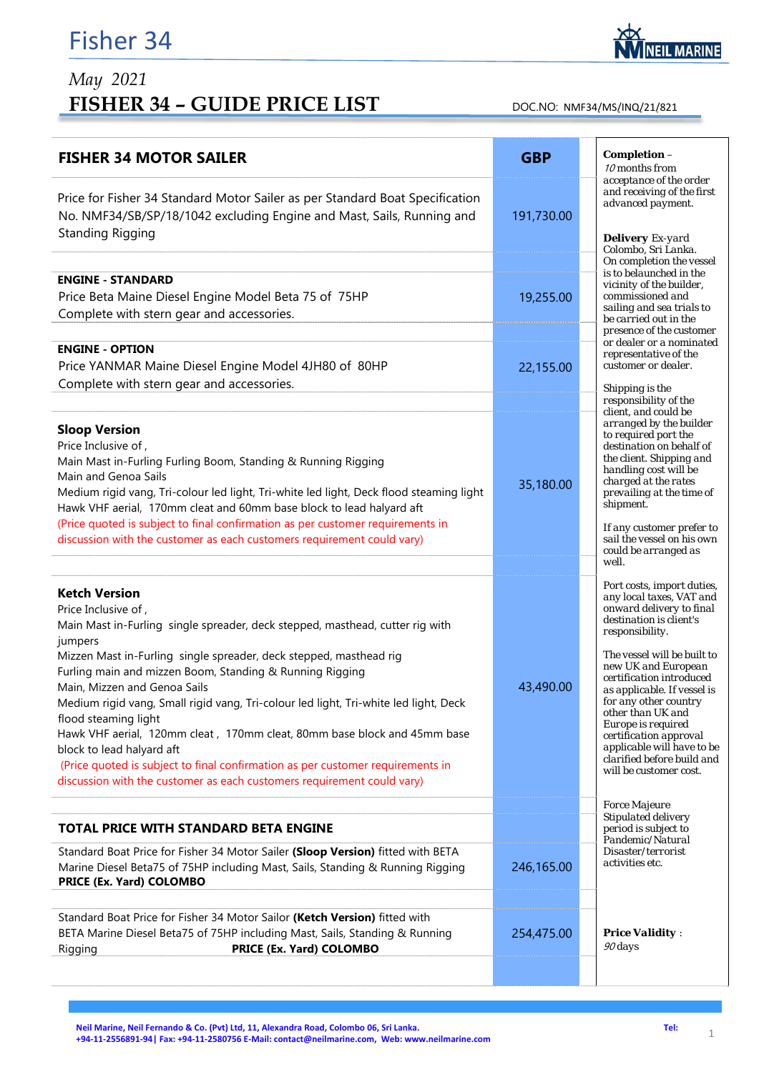## *May 2021*  FISHER 34 - GUIDE PRICE LIST DOC.NO: NMF34/MS/INQ/21/821

| <b>FISHER 34 MOTOR SAILER</b>                                                                                                                                                                                                                                                                                                                                                                                                                                                                                                                                  | <b>GBP</b> | Completion -<br>10 months from                                                                                                                                                                                                                                                                    |
|----------------------------------------------------------------------------------------------------------------------------------------------------------------------------------------------------------------------------------------------------------------------------------------------------------------------------------------------------------------------------------------------------------------------------------------------------------------------------------------------------------------------------------------------------------------|------------|---------------------------------------------------------------------------------------------------------------------------------------------------------------------------------------------------------------------------------------------------------------------------------------------------|
| Price for Fisher 34 Standard Motor Sailer as per Standard Boat Specification<br>No. NMF34/SB/SP/18/1042 excluding Engine and Mast, Sails, Running and                                                                                                                                                                                                                                                                                                                                                                                                          | 191,730.00 | acceptance of the order<br>and receiving of the first<br>advanced payment.                                                                                                                                                                                                                        |
| <b>Standing Rigging</b>                                                                                                                                                                                                                                                                                                                                                                                                                                                                                                                                        |            | <b>Delivery</b> Ex-yard<br>Colombo, Sri Lanka.<br>On completion the vessel                                                                                                                                                                                                                        |
| <b>ENGINE - STANDARD</b><br>Price Beta Maine Diesel Engine Model Beta 75 of 75HP<br>Complete with stern gear and accessories.                                                                                                                                                                                                                                                                                                                                                                                                                                  | 19,255.00  | is to belaunched in the<br>vicinity of the builder,<br>commissioned and<br>sailing and sea trials to<br>be carried out in the<br>presence of the customer<br>or dealer or a nominated<br>representative of the<br>customer or dealer.                                                             |
| <b>ENGINE - OPTION</b><br>Price YANMAR Maine Diesel Engine Model 4JH80 of 80HP                                                                                                                                                                                                                                                                                                                                                                                                                                                                                 | 22,155.00  |                                                                                                                                                                                                                                                                                                   |
| Complete with stern gear and accessories.                                                                                                                                                                                                                                                                                                                                                                                                                                                                                                                      |            | Shipping is the<br>responsibility of the                                                                                                                                                                                                                                                          |
| <b>Sloop Version</b><br>Price Inclusive of,<br>Main Mast in-Furling Furling Boom, Standing & Running Rigging<br>Main and Genoa Sails<br>Medium rigid vang, Tri-colour led light, Tri-white led light, Deck flood steaming light<br>Hawk VHF aerial, 170mm cleat and 60mm base block to lead halyard aft<br>(Price quoted is subject to final confirmation as per customer requirements in                                                                                                                                                                      | 35,180.00  | client, and could be<br>arranged by the builder<br>to required port the<br>destination on behalf of<br>the client. Shipping and<br>handling cost will be<br>charged at the rates<br>prevailing at the time of<br>shipment.                                                                        |
| discussion with the customer as each customers requirement could vary)                                                                                                                                                                                                                                                                                                                                                                                                                                                                                         |            | If any customer prefer to<br>sail the vessel on his own<br>could be arranged as<br>well.                                                                                                                                                                                                          |
| <b>Ketch Version</b><br>Price Inclusive of,<br>Main Mast in-Furling single spreader, deck stepped, masthead, cutter rig with                                                                                                                                                                                                                                                                                                                                                                                                                                   |            | Port costs, import duties,<br>any local taxes, VAT and<br>onward delivery to final<br>destination is client's<br>responsibility.                                                                                                                                                                  |
| jumpers<br>Mizzen Mast in-Furling single spreader, deck stepped, masthead rig<br>Furling main and mizzen Boom, Standing & Running Rigging<br>Main, Mizzen and Genoa Sails<br>Medium rigid vang, Small rigid vang, Tri-colour led light, Tri-white led light, Deck<br>flood steaming light<br>Hawk VHF aerial, 120mm cleat, 170mm cleat, 80mm base block and 45mm base<br>block to lead halyard aft<br>(Price quoted is subject to final confirmation as per customer requirements in<br>discussion with the customer as each customers requirement could vary) | 43,490.00  | The vessel will be built to<br>new UK and European<br>certification introduced<br>as applicable. If vessel is<br>for any other country<br>other than UK and<br>Europe is required<br>certification approval<br>applicable will have to be<br>clarified before build and<br>will be customer cost. |
|                                                                                                                                                                                                                                                                                                                                                                                                                                                                                                                                                                |            | <b>Force Majeure</b><br>Stipulated delivery                                                                                                                                                                                                                                                       |
| <b>TOTAL PRICE WITH STANDARD BETA ENGINE</b>                                                                                                                                                                                                                                                                                                                                                                                                                                                                                                                   |            | period is subject to<br>Pandemic/Natural                                                                                                                                                                                                                                                          |
| Standard Boat Price for Fisher 34 Motor Sailer (Sloop Version) fitted with BETA<br>Marine Diesel Beta75 of 75HP including Mast, Sails, Standing & Running Rigging<br>PRICE (Ex. Yard) COLOMBO                                                                                                                                                                                                                                                                                                                                                                  | 246,165.00 | Disaster/terrorist<br>activities etc.                                                                                                                                                                                                                                                             |
| Standard Boat Price for Fisher 34 Motor Sailor (Ketch Version) fitted with<br>BETA Marine Diesel Beta75 of 75HP including Mast, Sails, Standing & Running<br>PRICE (Ex. Yard) COLOMBO<br>Rigging                                                                                                                                                                                                                                                                                                                                                               | 254,475.00 | <b>Price Validity:</b><br>$90 \, days$                                                                                                                                                                                                                                                            |